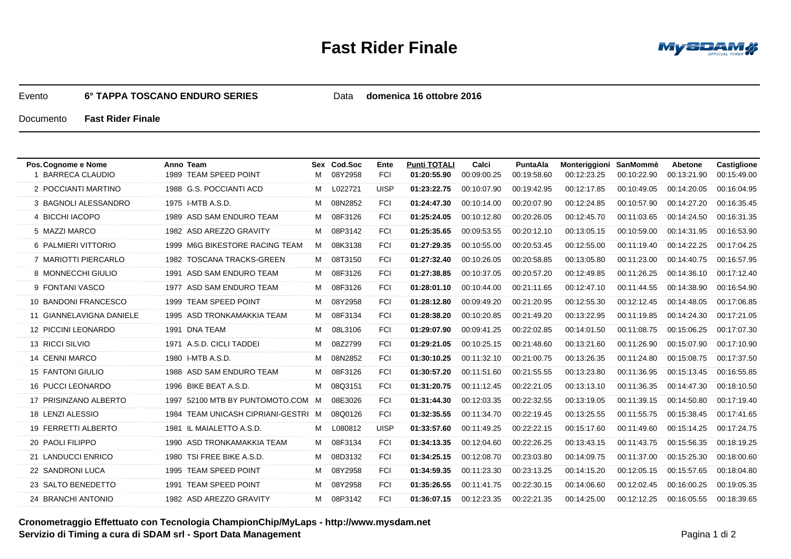## **Fast Rider Finale**



## Evento**6° TAPPA TOSCANO ENDURO SERIES**

Data **domenica 16 ottobre 2016**

Documento**Fast Rider Finale**

| Pos. Cognome e Nome<br><b>BARRECA CLAUDIO</b> | Anno Team<br>1989 TEAM SPEED POINT  |   | Sex Cod Soc | Ente        | <b>Punti TOTALI</b><br>01:20:55.90 | Calci<br>00:09:00.25 | PuntaAla<br>00:19:58.60 | Monteriggioni | SanMommè    | Abetone<br>00:13:21.90 | <b>Castiglione</b> |
|-----------------------------------------------|-------------------------------------|---|-------------|-------------|------------------------------------|----------------------|-------------------------|---------------|-------------|------------------------|--------------------|
|                                               |                                     | м | 08Y2958     | <b>FCI</b>  |                                    |                      |                         | 00:12:23.25   | 00:10:22.90 |                        | 00:15:49.00        |
| 2 POCCIANTI MARTINO                           | 1988 G.S. POCCIANTI ACD             | м | L022721     | <b>UISP</b> | 01:23:22.75                        | 00:10:07.90          | 00:19:42.95             | 00:12:17.85   | 00:10:49.05 | 00:14:20.05            | 00:16:04.95        |
| 3 BAGNOLI ALESSANDRO                          | 1975 I-MTB A.S.D.                   | м | 08N2852     | <b>FCI</b>  | 01:24:47.30                        | 00:10:14.00          | 00:20:07.90             | 00:12:24.85   | 00:10:57.90 | 00:14:27.20            | 00:16:35.45        |
| 4 BICCHI IACOPO                               | 1989 ASD SAM ENDURO TEAM            | м | 08F3126     | <b>FCI</b>  | 01:25:24.05                        | 00:10:12.80          | 00:20:26.05             | 00:12:45.70   | 00:11:03.65 | 00:14:24.50            | 00:16:31.35        |
| 5 MAZZI MARCO                                 | 1982 ASD AREZZO GRAVITY             | м | 08P3142     | <b>FCI</b>  | 01:25:35.65                        | 00:09:53.55          | 00:20:12.10             | 00:13:05.15   | 00:10:59.00 | 00:14:31.95            | 00:16:53.90        |
| 6 PALMIERI VITTORIO                           | 1999 M6G BIKESTORE RACING TEAM      | M | 08K3138     | <b>FCI</b>  | 01:27:29.35                        | 00:10:55.00          | 00:20:53.45             | 00:12:55.00   | 00:11:19.40 | 00:14:22.25            | 00:17:04.25        |
| 7 MARIOTTI PIERCARLO                          | 1982 TOSCANA TRACKS-GREEN           | M | 08T3150     | <b>FCI</b>  | 01:27:32.40                        | 00:10:26.05          | 00:20:58.85             | 00:13:05.80   | 00:11:23.00 | 00:14:40.75            | 00:16:57.95        |
| 8 MONNECCHI GIULIO                            | 1991 ASD SAM ENDURO TEAM            | М | 08F3126     | <b>FCI</b>  | 01:27:38.85                        | 00:10:37.05          | 00:20:57.20             | 00:12:49.85   | 00:11:26.25 | 00:14:36.10            | 00:17:12.40        |
| 9 FONTANI VASCO                               | 1977 ASD SAM ENDURO TEAM            | м | 08F3126     | <b>FCI</b>  | 01:28:01.10                        | 00:10:44.00          | 00:21:11.65             | 00:12:47.10   | 00:11:44.55 | 00:14:38.90            | 00:16:54.90        |
| 10 BANDONI FRANCESCO                          | 1999 TEAM SPEED POINT               | м | 08Y2958     | <b>FCI</b>  | 01:28:12.80                        | 00:09:49.20          | 00:21:20.95             | 00:12:55.30   | 00:12:12.45 | 00:14:48.05            | 00:17:06.85        |
| 11 GIANNELAVIGNA DANIELE                      | 1995 ASD TRONKAMAKKIA TEAM          | М | 08F3134     | <b>FCI</b>  | 01:28:38.20                        | 00:10:20.85          | 00:21:49.20             | 00:13:22.95   | 00:11:19.85 | 00:14:24.30            | 00:17:21.05        |
| 12 PICCINI LEONARDO                           | 1991 DNA TEAM                       | м | 08L3106     | <b>FCI</b>  | 01:29:07.90                        | 00:09:41.25          | 00:22:02.85             | 00:14:01.50   | 00:11:08.75 | 00:15:06.25            | 00:17:07.30        |
| 13 RICCI SILVIO                               | 1971 A.S.D. CICLI TADDEI            | м | 08Z2799     | <b>FCI</b>  | 01:29:21.05                        | 00:10:25.15          | 00:21:48.60             | 00:13:21.60   | 00:11:26.90 | 00:15:07.90            | 00:17:10.90        |
| 14 CENNI MARCO                                | 1980 I-MTB A.S.D.                   | м | 08N2852     | <b>FCI</b>  | 01:30:10.25                        | 00:11:32.10          | 00:21:00.75             | 00:13:26.35   | 00:11:24.80 | 00:15:08.75            | 00:17:37.50        |
| <b>15 FANTONI GIULIO</b>                      | 1988 ASD SAM ENDURO TEAM            | м | 08F3126     | <b>FCI</b>  | 01:30:57.20                        | 00:11:51.60          | 00:21:55.55             | 00:13:23.80   | 00:11:36.95 | 00:15:13.45            | 00:16:55.85        |
| 16 PUCCI LEONARDO                             | 1996 BIKE BEAT A.S.D.               | М | 08Q3151     | <b>FCI</b>  | 01:31:20.75                        | 00:11:12.45          | 00:22:21.05             | 00:13:13.10   | 00:11:36.35 | 00:14:47.30            | 00:18:10.50        |
| 17 PRISINZANO ALBERTO                         | 1997 52100 MTB BY PUNTOMOTO.COM     | M | 08E3026     | <b>FCI</b>  | 01:31:44.30                        | 00:12:03.35          | 00:22:32.55             | 00:13:19.05   | 00:11:39.15 | 00:14:50.80            | 00:17:19.40        |
| 18 LENZI ALESSIO                              | 1984 TEAM UNICASH CIPRIANI-GESTRI M |   | 08Q0126     | <b>FCI</b>  | 01:32:35.55                        | 00:11:34.70          | 00:22:19.45             | 00:13:25.55   | 00:11:55.75 | 00:15:38.45            | 00:17:41.65        |
| 19 FERRETTI ALBERTO                           | IL MAIALETTO A.S.D.<br>1981         | м | L080812     | <b>UISP</b> | 01:33:57.60                        | 00:11:49.25          | 00:22:22.15             | 00:15:17.60   | 00:11:49.60 | 00:15:14.25            | 00:17:24.75        |
| 20 PAOLI FILIPPO                              | 1990 ASD TRONKAMAKKIA TEAM          | м | 08F3134     | <b>FCI</b>  | 01:34:13.35                        | 00:12:04.60          | 00:22:26.25             | 00:13:43.15   | 00:11:43.75 | 00:15:56.35            | 00:18:19.25        |
| 21 LANDUCCI ENRICO                            | TSI FREE BIKE A.S.D.<br>1980        | м | 08D3132     | <b>FCI</b>  | 01:34:25.15                        | 00:12:08.70          | 00:23:03.80             | 00:14:09.75   | 00:11:37.00 | 00:15:25.30            | 00:18:00.60        |
| 22 SANDRONI LUCA                              | 1995 TEAM SPEED POINT               | м | 08Y2958     | <b>FCI</b>  | 01:34:59.35                        | 00:11:23.30          | 00:23:13.25             | 00:14:15.20   | 00:12:05.15 | 00:15:57.65            | 00:18:04.80        |
| 23 SALTO BENEDETTO                            | <b>TEAM SPEED POINT</b><br>1991     | м | 08Y2958     | <b>FCI</b>  | 01:35:26.55                        | 00:11:41.75          | 00:22:30.15             | 00:14:06.60   | 00:12:02.45 | 00:16:00.25            | 00:19:05.35        |
| 24 BRANCHI ANTONIO                            | 1982 ASD AREZZO GRAVITY             | м | 08P3142     | <b>FCI</b>  | 01:36:07.15                        | 00:12:23.35          | 00:22:21.35             | 00:14:25.00   | 00:12:12.25 | 00:16:05.55            | 00:18:39.65        |
|                                               |                                     |   |             |             |                                    |                      |                         |               |             |                        |                    |